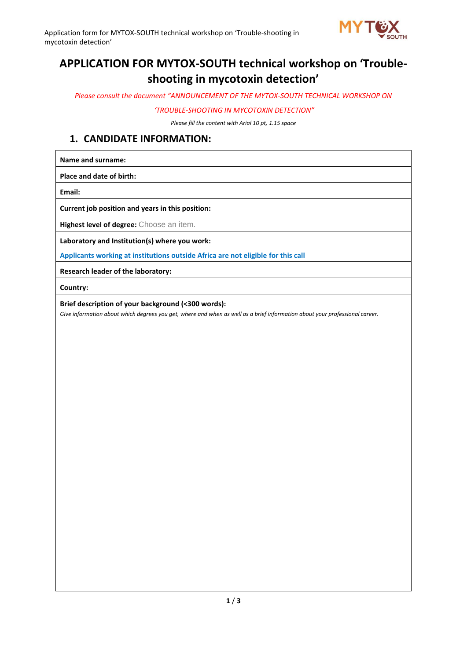

# **APPLICATION FOR MYTOX-SOUTH technical workshop on 'Troubleshooting in mycotoxin detection'**

*Please consult the document "ANNOUNCEMENT OF THE MYTOX-SOUTH TECHNICAL WORKSHOP ON*

*'TROUBLE-SHOOTING IN MYCOTOXIN DETECTION"*

*Please fill the content with Arial 10 pt, 1.15 space*

#### **1. CANDIDATE INFORMATION:**

**Name and surname:** 

**Place and date of birth:** 

**Email:** 

**Current job position and years in this position:** 

**Highest level of degree:** Choose an item.

**Laboratory and Institution(s) where you work:** 

**Applicants working at institutions outside Africa are not eligible for this call**

**Research leader of the laboratory:** 

**Country:** 

**Brief description of your background (<300 words):** 

*Give information about which degrees you get, where and when as well as a brief information about your professional career.*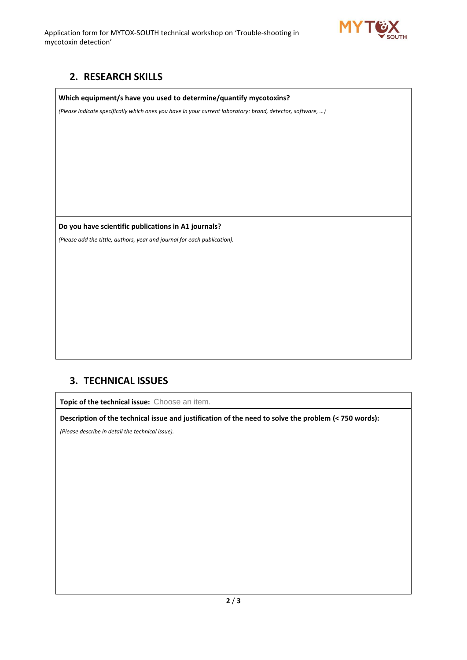Application form for MYTOX-SOUTH technical workshop on 'Trouble-shooting in mycotoxin detection'



## **2. RESEARCH SKILLS**

#### **Which equipment/s have you used to determine/quantify mycotoxins?**

*(Please indicate specifically which ones you have in your current laboratory: brand, detector, software, …)*

**Do you have scientific publications in A1 journals?**

*(Please add the tittle, authors, year and journal for each publication).* 

### **3. TECHNICAL ISSUES**

**Topic of the technical issue:** Choose an item.

**Description of the technical issue and justification of the need to solve the problem (< 750 words):** 

*(Please describe in detail the technical issue).*